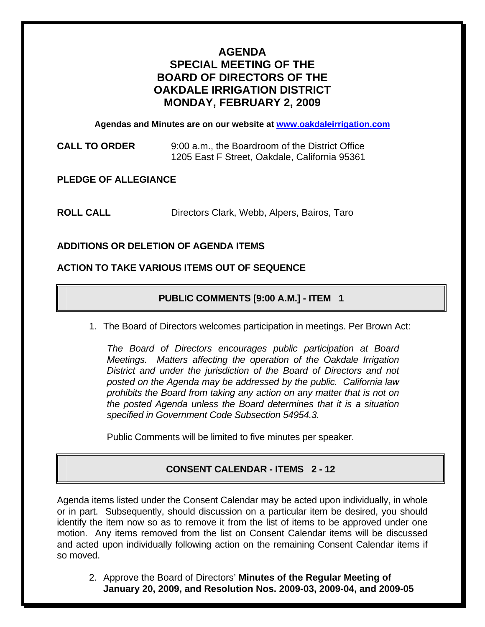# **AGENDA SPECIAL MEETING OF THE BOARD OF DIRECTORS OF THE OAKDALE IRRIGATION DISTRICT MONDAY, FEBRUARY 2, 2009**

**Agendas and Minutes are on our website at [www.oakdaleirrigation.com](http://www.oakdaleirrigation.com/)**

**CALL TO ORDER** 9:00 a.m., the Boardroom of the District Office 1205 East F Street, Oakdale, California 95361

**PLEDGE OF ALLEGIANCE** 

**ROLL CALL** Directors Clark, Webb, Alpers, Bairos, Taro

# **ADDITIONS OR DELETION OF AGENDA ITEMS**

### **ACTION TO TAKE VARIOUS ITEMS OUT OF SEQUENCE**

# **PUBLIC COMMENTS [9:00 A.M.] - ITEM 1**

1. The Board of Directors welcomes participation in meetings. Per Brown Act:

*The Board of Directors encourages public participation at Board Meetings. Matters affecting the operation of the Oakdale Irrigation District and under the jurisdiction of the Board of Directors and not posted on the Agenda may be addressed by the public. California law prohibits the Board from taking any action on any matter that is not on the posted Agenda unless the Board determines that it is a situation specified in Government Code Subsection 54954.3.*

Public Comments will be limited to five minutes per speaker.

# **CONSENT CALENDAR - ITEMS 2 - 12**

Agenda items listed under the Consent Calendar may be acted upon individually, in whole or in part. Subsequently, should discussion on a particular item be desired, you should identify the item now so as to remove it from the list of items to be approved under one motion. Any items removed from the list on Consent Calendar items will be discussed and acted upon individually following action on the remaining Consent Calendar items if so moved.

2. Approve the Board of Directors' **Minutes of the Regular Meeting of January 20, 2009, and Resolution Nos. 2009-03, 2009-04, and 2009-05**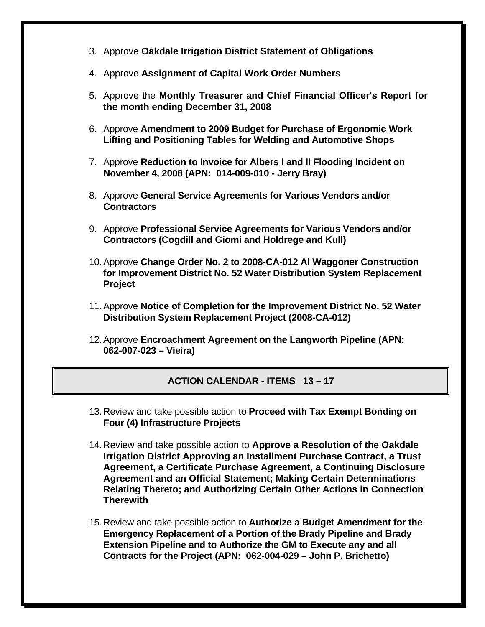- 3. Approve **Oakdale Irrigation District Statement of Obligations**
- 4. Approve **Assignment of Capital Work Order Numbers**
- 5. Approve the **Monthly Treasurer and Chief Financial Officer's Report for the month ending December 31, 2008**
- 6. Approve **Amendment to 2009 Budget for Purchase of Ergonomic Work Lifting and Positioning Tables for Welding and Automotive Shops**
- 7. Approve **Reduction to Invoice for Albers I and II Flooding Incident on November 4, 2008 (APN: 014-009-010 - Jerry Bray)**
- 8. Approve **General Service Agreements for Various Vendors and/or Contractors**
- 9. Approve **Professional Service Agreements for Various Vendors and/or Contractors (Cogdill and Giomi and Holdrege and Kull)**
- 10. Approve **Change Order No. 2 to 2008-CA-012 Al Waggoner Construction for Improvement District No. 52 Water Distribution System Replacement Project**
- 11. Approve **Notice of Completion for the Improvement District No. 52 Water Distribution System Replacement Project (2008-CA-012)**
- 12. Approve **Encroachment Agreement on the Langworth Pipeline (APN: 062-007-023 – Vieira)**

#### **ACTION CALENDAR - ITEMS 13 – 17**

- 13. Review and take possible action to **Proceed with Tax Exempt Bonding on Four (4) Infrastructure Projects**
- 14. Review and take possible action to **Approve a Resolution of the Oakdale Irrigation District Approving an Installment Purchase Contract, a Trust Agreement, a Certificate Purchase Agreement, a Continuing Disclosure Agreement and an Official Statement; Making Certain Determinations Relating Thereto; and Authorizing Certain Other Actions in Connection Therewith**
- 15. Review and take possible action to **Authorize a Budget Amendment for the Emergency Replacement of a Portion of the Brady Pipeline and Brady Extension Pipeline and to Authorize the GM to Execute any and all Contracts for the Project (APN: 062-004-029 – John P. Brichetto)**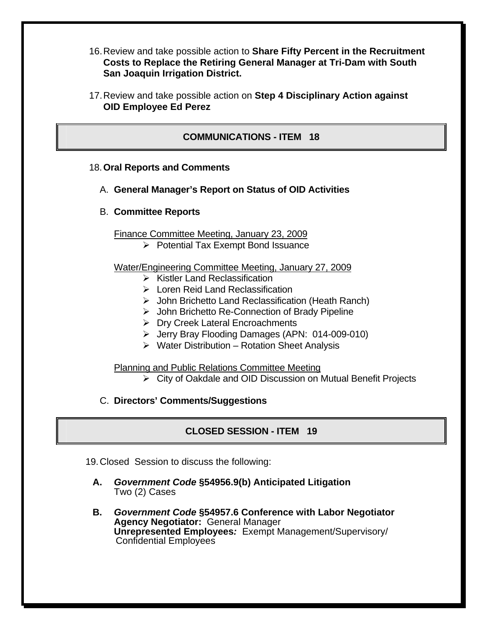- 16. Review and take possible action to **Share Fifty Percent in the Recruitment Costs to Replace the Retiring General Manager at Tri-Dam with South San Joaquin Irrigation District.**
- 17. Review and take possible action on **Step 4 Disciplinary Action against OID Employee Ed Perez**

# **COMMUNICATIONS - ITEM 18**

### 18.**Oral Reports and Comments**

- A. **General Manager's Report on Status of OID Activities**
- B. **Committee Reports**

Finance Committee Meeting, January 23, 2009

¾ Potential Tax Exempt Bond Issuance

Water/Engineering Committee Meeting, January 27, 2009

- $\triangleright$  Kistler Land Reclassification
- $\triangleright$  Loren Reid Land Reclassification
- ¾ John Brichetto Land Reclassification (Heath Ranch)
- ¾ John Brichetto Re-Connection of Brady Pipeline
- ¾ Dry Creek Lateral Encroachments
- ¾ Jerry Bray Flooding Damages (APN: 014-009-010)
- $\triangleright$  Water Distribution Rotation Sheet Analysis

Planning and Public Relations Committee Meeting

- ¾ City of Oakdale and OID Discussion on Mutual Benefit Projects
- C. **Directors' Comments/Suggestions**

# **CLOSED SESSION - ITEM 19**

19. Closed Session to discuss the following:

- **A.** *Government Code* **§54956.9(b) Anticipated Litigation**  Two (2) Cases
- **B.** *Government Code* **§54957.6 Conference with Labor Negotiator Agency Negotiator:** General Manager **Unrepresented Employees***:* Exempt Management/Supervisory/ Confidential Employees